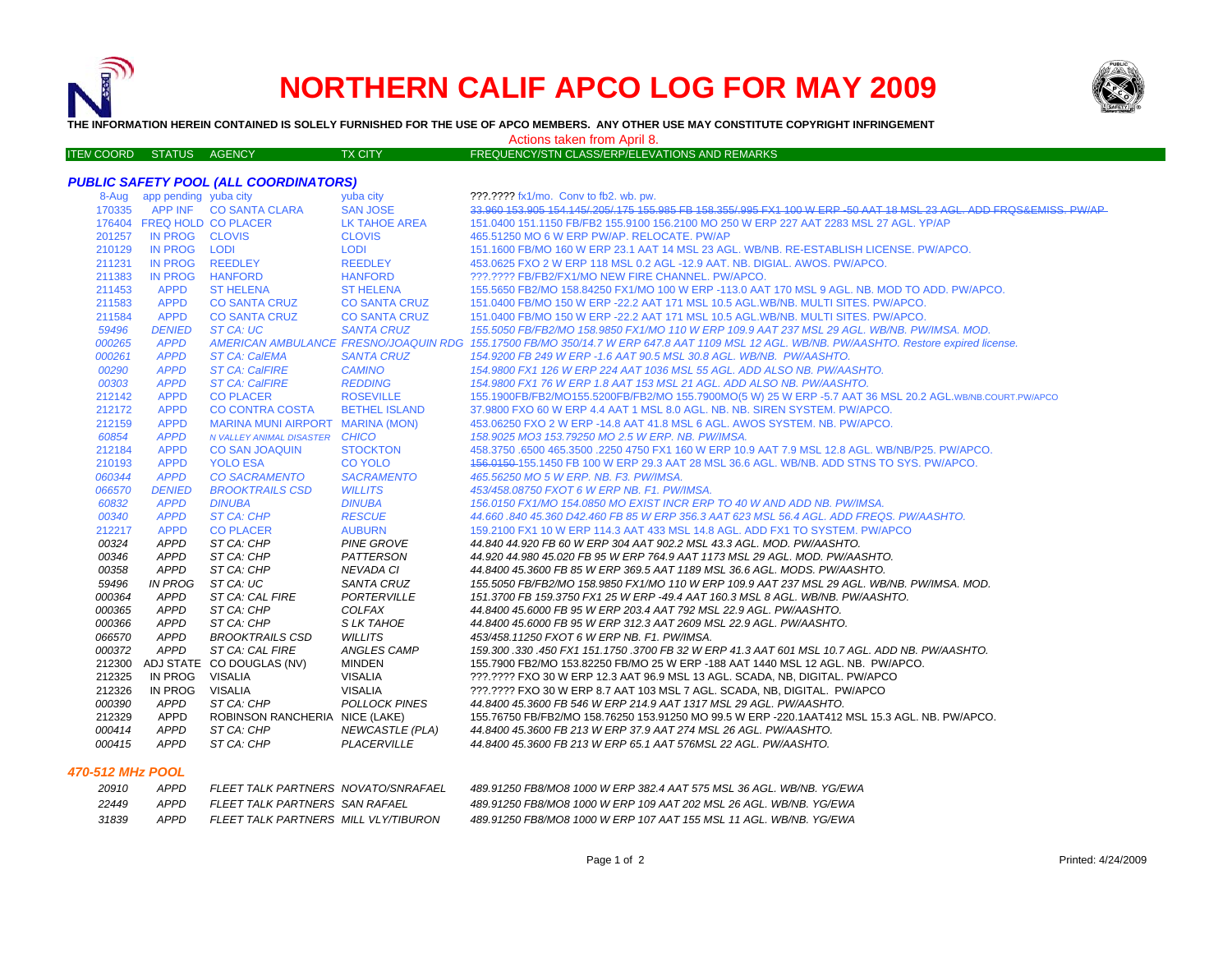

# **NORTHERN CALIF APCO LOG FOR MAY 2009**



**THE INFORMATION HEREIN CONTAINED IS SOLELY FURNISHED FOR THE USE OF APCO MEMBERS. ANY OTHER USE MAY CONSTITUTE COPYRIGHT INFRINGEMENT**

Actions taken from April 8.

| <b>ITEM COORD STATUS</b> | AGENCY | <b>TX CITY</b> | FREQUENCY/STN CLASS/ERP/ELEVATIONS AND REMARKS |
|--------------------------|--------|----------------|------------------------------------------------|
|                          |        |                |                                                |

| <b>PUBLIC SAFETY POOL (ALL COORDINATORS)</b> |                             |                                  |                        |                                                                                                                                            |  |
|----------------------------------------------|-----------------------------|----------------------------------|------------------------|--------------------------------------------------------------------------------------------------------------------------------------------|--|
|                                              | 8-Aug app pending yuba city |                                  | yuba city              | ???.???? fx1/mo. Conv to fb2. wb. pw.                                                                                                      |  |
|                                              |                             | 170335 APP INF CO SANTA CLARA    | <b>SAN JOSE</b>        | 33,960 153,905 154,145/205/175 155,985 FB 158,355/995 FX1 100 W ERP-50 AAT 18 MSL 23 AGL, ADD FROS&EMISS, PW/AP                            |  |
|                                              | 176404 FREQ HOLD CO PLACER  |                                  | LK TAHOE AREA          | 151.0400 151.1150 FB/FB2 155.9100 156.2100 MO 250 W ERP 227 AAT 2283 MSL 27 AGL, YP/AP                                                     |  |
| 201257                                       | IN PROG CLOVIS              |                                  | <b>CLOVIS</b>          | 465.51250 MO 6 W ERP PW/AP, RELOCATE, PW/AP                                                                                                |  |
| 210129                                       | IN PROG LODI                |                                  | LODI                   | 151.1600 FB/MO 160 W ERP 23.1 AAT 14 MSL 23 AGL. WB/NB. RE-ESTABLISH LICENSE. PW/APCO.                                                     |  |
| 211231                                       | IN PROG REEDLEY             |                                  | <b>REEDLEY</b>         | 453,0625 FXO 2 W ERP 118 MSL 0.2 AGL -12.9 AAT, NB, DIGIAL, AWOS, PW/APCO,                                                                 |  |
| 211383                                       | <b>IN PROG</b>              | <b>HANFORD</b>                   | <b>HANFORD</b>         | ???.???? FB/FB2/FX1/MO NEW FIRE CHANNEL. PW/APCO.                                                                                          |  |
| 211453                                       | <b>APPD</b>                 | <b>ST HELENA</b>                 | <b>ST HELENA</b>       | 155.5650 FB2/MO 158.84250 FX1/MO 100 W ERP -113.0 AAT 170 MSL 9 AGL. NB. MOD TO ADD. PW/APCO.                                              |  |
| 211583                                       | <b>APPD</b>                 | <b>CO SANTA CRUZ</b>             | <b>CO SANTA CRUZ</b>   | 151.0400 FB/MO 150 W ERP -22.2 AAT 171 MSL 10.5 AGL.WB/NB. MULTI SITES. PW/APCO.                                                           |  |
| 211584                                       | <b>APPD</b>                 | <b>CO SANTA CRUZ</b>             | <b>CO SANTA CRUZ</b>   | 151,0400 FB/MO 150 W ERP -22.2 AAT 171 MSL 10.5 AGL.WB/NB, MULTI SITES, PW/APCO,                                                           |  |
| 59496                                        | <b>DENIED</b>               | ST CA: UC                        | <b>SANTA CRUZ</b>      | 155.5050 FB/FB2/MO 158.9850 FX1/MO 110 W ERP 109.9 AAT 237 MSL 29 AGL. WB/NB. PW/IMSA. MOD.                                                |  |
| 000265                                       | <b>APPD</b>                 |                                  |                        | AMERICAN AMBULANCE FRESNO/JOAQUIN RDG 155.17500 FB/MO 350/14.7 W ERP 647.8 AAT 1109 MSL 12 AGL. WB/NB. PW/AASHTO. Restore expired license. |  |
| 000261                                       | <b>APPD</b>                 | <b>ST CA: CalEMA</b>             | <b>SANTA CRUZ</b>      | 154.9200 FB 249 W ERP -1.6 AAT 90.5 MSL 30.8 AGL, WB/NB, PW/AASHTO.                                                                        |  |
| 00290                                        | <b>APPD</b>                 | <b>ST CA: CalFIRE</b>            | <b>CAMINO</b>          | 154,9800 FX1 126 W ERP 224 AAT 1036 MSL 55 AGL, ADD ALSO NB, PW/AASHTO,                                                                    |  |
| 00303                                        | <b>APPD</b>                 | <b>ST CA: CalFIRE</b>            | <b>REDDING</b>         | 154,9800 FX1 76 W ERP 1.8 AAT 153 MSL 21 AGL, ADD ALSO NB, PW/AASHTO,                                                                      |  |
| 212142                                       | <b>APPD</b>                 | <b>CO PLACER</b>                 | <b>ROSEVILLE</b>       | 155.1900FB/FB2/MO155.5200FB/FB2/MO 155.7900MO(5 W) 25 W ERP -5.7 AAT 36 MSL 20.2 AGL.WB/NB.COURT.PW/APCO                                   |  |
| 212172                                       | <b>APPD</b>                 | <b>CO CONTRA COSTA</b>           | <b>BETHEL ISLAND</b>   | 37.9800 FXO 60 W ERP 4.4 AAT 1 MSL 8.0 AGL. NB. NB. SIREN SYSTEM. PW/APCO.                                                                 |  |
| 212159                                       | <b>APPD</b>                 | MARINA MUNI AIRPORT MARINA (MON) |                        | 453.06250 FXO 2 W ERP -14.8 AAT 41.8 MSL 6 AGL. AWOS SYSTEM. NB. PW/APCO.                                                                  |  |
| 60854                                        | <b>APPD</b>                 | N VALLEY ANIMAL DISASTER CHICO   |                        | 158.9025 MO3 153.79250 MO 2.5 W ERP. NB. PW/IMSA.                                                                                          |  |
| 212184                                       | <b>APPD</b>                 | <b>CO SAN JOAQUIN</b>            | <b>STOCKTON</b>        | 458.3750 .6500 465.3500 .2250 4750 FX1 160 W ERP 10.9 AAT 7.9 MSL 12.8 AGL. WB/NB/P25. PW/APCO.                                            |  |
| 210193                                       | <b>APPD</b>                 | <b>YOLO ESA</b>                  | <b>CO YOLO</b>         | 156,0150-155,1450 FB 100 W ERP 29.3 AAT 28 MSL 36.6 AGL, WB/NB, ADD STNS TO SYS, PW/APCO,                                                  |  |
| 060344                                       | <b>APPD</b>                 | <b>CO SACRAMENTO</b>             | <b>SACRAMENTO</b>      | 465.56250 MO 5 W ERP. NB. F3. PW/IMSA.                                                                                                     |  |
| 066570                                       | <b>DENIED</b>               | <b>BROOKTRAILS CSD</b>           | <b>WILLITS</b>         | 453/458.08750 FXOT 6 W ERP NB. F1. PW/IMSA.                                                                                                |  |
| 60832                                        | <b>APPD</b>                 | <b>DINUBA</b>                    | <b>DINUBA</b>          | 156.0150 FX1/MO 154.0850 MO EXIST INCR ERP TO 40 W AND ADD NB. PW/IMSA.                                                                    |  |
| 00340                                        | <b>APPD</b>                 | ST CA: CHP                       | <b>RESCUE</b>          | 44.660 .840 45.360 D42.460 FB 85 W ERP 356.3 AAT 623 MSL 56.4 AGL. ADD FREQS. PW/AASHTO.                                                   |  |
| 212217                                       | <b>APPD</b>                 | <b>CO PLACER</b>                 | <b>AUBURN</b>          | 159.2100 FX1 10 W ERP 114.3 AAT 433 MSL 14.8 AGL, ADD FX1 TO SYSTEM, PW/APCO                                                               |  |
| 00324                                        | APPD                        | ST CA: CHP                       | PINE GROVE             | 44.840 44.920 FB 60 W ERP 304 AAT 902.2 MSL 43.3 AGL. MOD. PW/AASHTO.                                                                      |  |
| 00346                                        | APPD                        | ST CA: CHP                       | PATTERSON              | 44.920 44.980 45.020 FB 95 W ERP 764.9 AAT 1173 MSL 29 AGL, MOD, PW/AASHTO,                                                                |  |
| 00358                                        | APPD                        | ST CA: CHP                       | NEVADA CI              | 44.8400 45.3600 FB 85 W ERP 369.5 AAT 1189 MSL 36.6 AGL. MODS. PW/AASHTO.                                                                  |  |
| 59496                                        | <b>IN PROG</b>              | ST CA: UC                        | SANTA CRUZ             | 155.5050 FB/FB2/MO 158.9850 FX1/MO 110 W ERP 109.9 AAT 237 MSL 29 AGL. WB/NB. PW/IMSA. MOD.                                                |  |
| 000364                                       | <b>APPD</b>                 | ST CA: CAL FIRE                  | PORTERVILLE            | 151.3700 FB 159.3750 FX1 25 W ERP -49.4 AAT 160.3 MSL 8 AGL. WB/NB. PW/AASHTO.                                                             |  |
| 000365                                       | APPD                        | ST CA: CHP                       | COLFAX                 | 44.8400 45.6000 FB 95 W ERP 203.4 AAT 792 MSL 22.9 AGL. PW/AASHTO.                                                                         |  |
| 000366                                       | <b>APPD</b>                 | ST CA: CHP                       | S LK TAHOE             | 44.8400 45.6000 FB 95 W ERP 312.3 AAT 2609 MSL 22.9 AGL, PW/AASHTO.                                                                        |  |
| 066570                                       | <b>APPD</b>                 | <b>BROOKTRAILS CSD</b>           | <b>WILLITS</b>         | 453/458.11250 FXOT 6 W ERP NB, F1, PW/IMSA,                                                                                                |  |
| 000372                                       | APPD                        | ST CA: CAL FIRE                  | <b>ANGLES CAMP</b>     | 159.300.330.450 FX1 151.1750.3700 FB 32 W ERP 41.3 AAT 601 MSL 10.7 AGL. ADD NB. PW/AASHTO.                                                |  |
|                                              |                             | 212300 ADJ STATE CO DOUGLAS (NV) | <b>MINDEN</b>          | 155.7900 FB2/MO 153.82250 FB/MO 25 W ERP -188 AAT 1440 MSL 12 AGL, NB, PW/APCO,                                                            |  |
| 212325                                       | IN PROG                     | VISALIA                          | VISALIA                | ???.???? FXO 30 W ERP 12.3 AAT 96.9 MSL 13 AGL. SCADA, NB, DIGITAL. PW/APCO                                                                |  |
| 212326                                       | IN PROG                     | VISALIA                          | <b>VISALIA</b>         | ???.???? FXO 30 W ERP 8.7 AAT 103 MSL 7 AGL. SCADA, NB, DIGITAL. PW/APCO                                                                   |  |
| 000390                                       | APPD                        | ST CA: CHP                       | <b>POLLOCK PINES</b>   | 44.8400 45.3600 FB 546 W ERP 214.9 AAT 1317 MSL 29 AGL. PW/AASHTO.                                                                         |  |
| 212329                                       | APPD                        | ROBINSON RANCHERIA NICE (LAKE)   |                        | 155.76750 FB/FB2/MO 158.76250 153.91250 MO 99.5 W ERP -220.1AAT412 MSL 15.3 AGL. NB. PW/APCO.                                              |  |
| 000414                                       | <b>APPD</b>                 | ST CA: CHP                       | <b>NEWCASTLE (PLA)</b> | 44.8400 45.3600 FB 213 W ERP 37.9 AAT 274 MSL 26 AGL. PW/AASHTO.                                                                           |  |
| 000415                                       | <b>APPD</b>                 | ST CA: CHP                       | PLACERVILLE            | 44.8400 45.3600 FB 213 W ERP 65.1 AAT 576MSL 22 AGL. PW/AASHTO.                                                                            |  |

#### *470-512 MHz POOL*

| 20910 | <b>APPD</b> | FI FFT TAI K PARTNERS, NOVATO/SNRAFAFI   | 489.91250 FB8/MO8 1000 W ERP 382.4 AAT 575 MSL 36 AGL, WB/NB, YG/EWA |
|-------|-------------|------------------------------------------|----------------------------------------------------------------------|
| 22449 | APPD        | FLEET TALK PARTNERS SAN RAFAEL           | 489.91250 FB8/MO8 1000 W ERP 109 AAT 202 MSL 26 AGL. WB/NB. YG/EWA   |
| 31839 | APPD        | FI FFT TAI K PARTNERS, MILL VI Y/TIBURON | 489.91250 FB8/MO8 1000 W ERP 107 AAT 155 MSL 11 AGL, WB/NB, YG/EWA   |